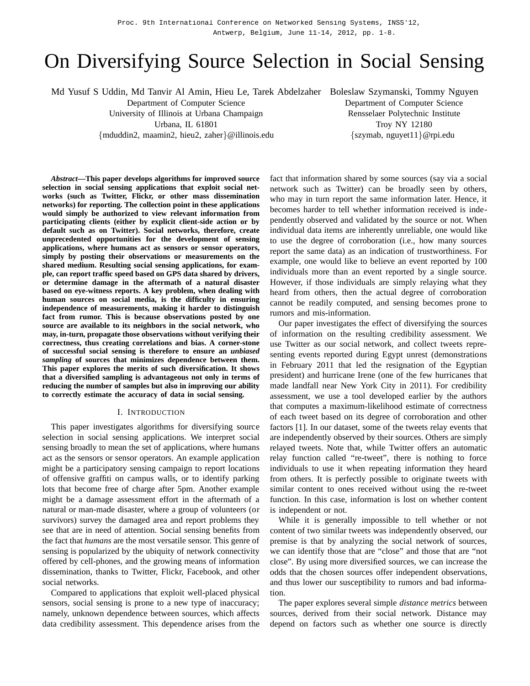Proc. 9th International Conference on Networked Sensing Systems, INSS'12, Antwerp, Belgium, June 11-14, 2012, pp. 1-8.

# On Diversifying Source Selection in Social Sensing

Md Yusuf S Uddin, Md Tanvir Al Amin, Hieu Le, Tarek Abdelzaher Boleslaw Szymanski, Tommy Nguyen

Department of Computer Science

University of Illinois at Urbana Champaign

Urbana, IL 61801

{mduddin2, maamin2, hieu2, zaher}@illinois.edu

Department of Computer Science Rensselaer Polytechnic Institute Troy NY 12180 {szymab, nguyet11}@rpi.edu

*Abstract***—This paper develops algorithms for improved source selection in social sensing applications that exploit social networks (such as Twitter, Flickr, or other mass dissemination networks) for reporting. The collection point in these applications would simply be authorized to view relevant information from participating clients (either by explicit client-side action or by default such as on Twitter). Social networks, therefore, create unprecedented opportunities for the development of sensing applications, where humans act as sensors or sensor operators, simply by posting their observations or measurements on the shared medium. Resulting social sensing applications, for example, can report traffic speed based on GPS data shared by drivers, or determine damage in the aftermath of a natural disaster based on eye-witness reports. A key problem, when dealing with human sources on social media, is the difficulty in ensuring independence of measurements, making it harder to distinguish fact from rumor. This is because observations posted by one source are available to its neighbors in the social network, who may, in-turn, propagate those observations without verifying their correctness, thus creating correlations and bias. A corner-stone of successful social sensing is therefore to ensure an** *unbiased sampling* **of sources that minimizes dependence between them. This paper explores the merits of such diversification. It shows that a diversified sampling is advantageous not only in terms of reducing the number of samples but also in improving our ability to correctly estimate the accuracy of data in social sensing.**

#### I. INTRODUCTION

This paper investigates algorithms for diversifying source selection in social sensing applications. We interpret social sensing broadly to mean the set of applications, where humans act as the sensors or sensor operators. An example application might be a participatory sensing campaign to report locations of offensive graffiti on campus walls, or to identify parking lots that become free of charge after 5pm. Another example might be a damage assessment effort in the aftermath of a natural or man-made disaster, where a group of volunteers (or survivors) survey the damaged area and report problems they see that are in need of attention. Social sensing benefits from the fact that *humans* are the most versatile sensor. This genre of sensing is popularized by the ubiquity of network connectivity offered by cell-phones, and the growing means of information dissemination, thanks to Twitter, Flickr, Facebook, and other social networks.

Compared to applications that exploit well-placed physical sensors, social sensing is prone to a new type of inaccuracy; namely, unknown dependence between sources, which affects data credibility assessment. This dependence arises from the fact that information shared by some sources (say via a social network such as Twitter) can be broadly seen by others, who may in turn report the same information later. Hence, it becomes harder to tell whether information received is independently observed and validated by the source or not. When individual data items are inherently unreliable, one would like to use the degree of corroboration (i.e., how many sources report the same data) as an indication of trustworthiness. For example, one would like to believe an event reported by 100 individuals more than an event reported by a single source. However, if those individuals are simply relaying what they heard from others, then the actual degree of corroboration cannot be readily computed, and sensing becomes prone to rumors and mis-information.

Our paper investigates the effect of diversifying the sources of information on the resulting credibility assessment. We use Twitter as our social network, and collect tweets representing events reported during Egypt unrest (demonstrations in February 2011 that led the resignation of the Egyptian president) and hurricane Irene (one of the few hurricanes that made landfall near New York City in 2011). For credibility assessment, we use a tool developed earlier by the authors that computes a maximum-likelihood estimate of correctness of each tweet based on its degree of corroboration and other factors [1]. In our dataset, some of the tweets relay events that are independently observed by their sources. Others are simply relayed tweets. Note that, while Twitter offers an automatic relay function called "re-tweet", there is nothing to force individuals to use it when repeating information they heard from others. It is perfectly possible to originate tweets with similar content to ones received without using the re-tweet function. In this case, information is lost on whether content is independent or not.

While it is generally impossible to tell whether or not content of two similar tweets was independently observed, our premise is that by analyzing the social network of sources, we can identify those that are "close" and those that are "not close". By using more diversified sources, we can increase the odds that the chosen sources offer independent observations, and thus lower our susceptibility to rumors and bad information.

The paper explores several simple *distance metrics* between sources, derived from their social network. Distance may depend on factors such as whether one source is directly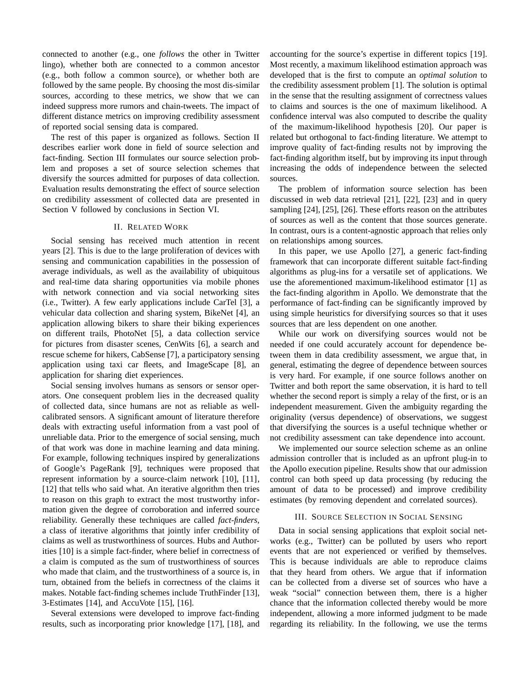connected to another (e.g., one *follows* the other in Twitter lingo), whether both are connected to a common ancestor (e.g., both follow a common source), or whether both are followed by the same people. By choosing the most dis-similar sources, according to these metrics, we show that we can indeed suppress more rumors and chain-tweets. The impact of different distance metrics on improving credibility assessment of reported social sensing data is compared.

The rest of this paper is organized as follows. Section II describes earlier work done in field of source selection and fact-finding. Section III formulates our source selection problem and proposes a set of source selection schemes that diversify the sources admitted for purposes of data collection. Evaluation results demonstrating the effect of source selection on credibility assessment of collected data are presented in Section V followed by conclusions in Section VI.

## II. RELATED WORK

Social sensing has received much attention in recent years [2]. This is due to the large proliferation of devices with sensing and communication capabilities in the possession of average individuals, as well as the availability of ubiquitous and real-time data sharing opportunities via mobile phones with network connection and via social networking sites (i.e., Twitter). A few early applications include CarTel [3], a vehicular data collection and sharing system, BikeNet [4], an application allowing bikers to share their biking experiences on different trails, PhotoNet [5], a data collection service for pictures from disaster scenes, CenWits [6], a search and rescue scheme for hikers, CabSense [7], a participatory sensing application using taxi car fleets, and ImageScape [8], an application for sharing diet experiences.

Social sensing involves humans as sensors or sensor operators. One consequent problem lies in the decreased quality of collected data, since humans are not as reliable as wellcalibrated sensors. A significant amount of literature therefore deals with extracting useful information from a vast pool of unreliable data. Prior to the emergence of social sensing, much of that work was done in machine learning and data mining. For example, following techniques inspired by generalizations of Google's PageRank [9], techniques were proposed that represent information by a source-claim network [10], [11], [12] that tells who said what. An iterative algorithm then tries to reason on this graph to extract the most trustworthy information given the degree of corroboration and inferred source reliability. Generally these techniques are called *fact-finders*, a class of iterative algorithms that jointly infer credibility of claims as well as trustworthiness of sources. Hubs and Authorities [10] is a simple fact-finder, where belief in correctness of a claim is computed as the sum of trustworthiness of sources who made that claim, and the trustworthiness of a source is, in turn, obtained from the beliefs in correctness of the claims it makes. Notable fact-finding schemes include TruthFinder [13], 3-Estimates [14], and AccuVote [15], [16].

Several extensions were developed to improve fact-finding results, such as incorporating prior knowledge [17], [18], and accounting for the source's expertise in different topics [19]. Most recently, a maximum likelihood estimation approach was developed that is the first to compute an *optimal solution* to the credibility assessment problem [1]. The solution is optimal in the sense that the resulting assignment of correctness values to claims and sources is the one of maximum likelihood. A confidence interval was also computed to describe the quality of the maximum-likelihood hypothesis [20]. Our paper is related but orthogonal to fact-finding literature. We attempt to improve quality of fact-finding results not by improving the fact-finding algorithm itself, but by improving its input through increasing the odds of independence between the selected sources.

The problem of information source selection has been discussed in web data retrieval [21], [22], [23] and in query sampling [24], [25], [26]. These efforts reason on the attributes of sources as well as the content that those sources generate. In contrast, ours is a content-agnostic approach that relies only on relationships among sources.

In this paper, we use Apollo [27], a generic fact-finding framework that can incorporate different suitable fact-finding algorithms as plug-ins for a versatile set of applications. We use the aforementioned maximum-likelihood estimator [1] as the fact-finding algorithm in Apollo. We demonstrate that the performance of fact-finding can be significantly improved by using simple heuristics for diversifying sources so that it uses sources that are less dependent on one another.

While our work on diversifying sources would not be needed if one could accurately account for dependence between them in data credibility assessment, we argue that, in general, estimating the degree of dependence between sources is very hard. For example, if one source follows another on Twitter and both report the same observation, it is hard to tell whether the second report is simply a relay of the first, or is an independent measurement. Given the ambiguity regarding the originality (versus dependence) of observations, we suggest that diversifying the sources is a useful technique whether or not credibility assessment can take dependence into account.

We implemented our source selection scheme as an online admission controller that is included as an upfront plug-in to the Apollo execution pipeline. Results show that our admission control can both speed up data processing (by reducing the amount of data to be processed) and improve credibility estimates (by removing dependent and correlated sources).

# III. SOURCE SELECTION IN SOCIAL SENSING

Data in social sensing applications that exploit social networks (e.g., Twitter) can be polluted by users who report events that are not experienced or verified by themselves. This is because individuals are able to reproduce claims that they heard from others. We argue that if information can be collected from a diverse set of sources who have a weak "social" connection between them, there is a higher chance that the information collected thereby would be more independent, allowing a more informed judgment to be made regarding its reliability. In the following, we use the terms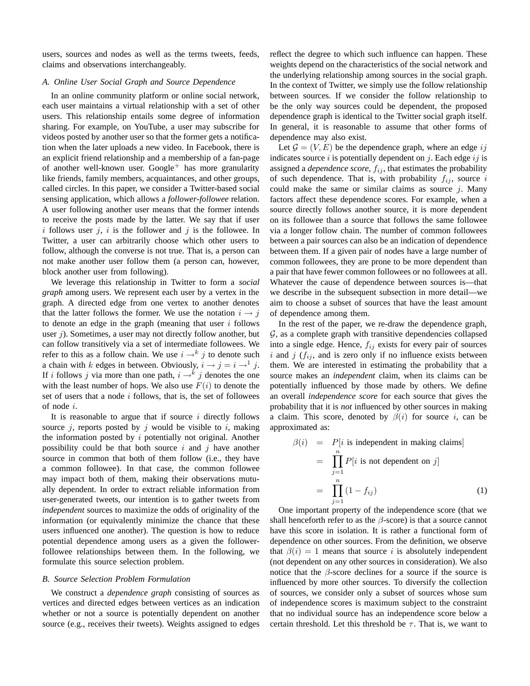users, sources and nodes as well as the terms tweets, feeds, claims and observations interchangeably.

## *A. Online User Social Graph and Source Dependence*

In an online community platform or online social network, each user maintains a virtual relationship with a set of other users. This relationship entails some degree of information sharing. For example, on YouTube, a user may subscribe for videos posted by another user so that the former gets a notification when the later uploads a new video. In Facebook, there is an explicit friend relationship and a membership of a fan-page of another well-known user.  $Google<sup>+</sup>$  has more granularity like friends, family members, acquaintances, and other groups, called circles. In this paper, we consider a Twitter-based social sensing application, which allows a *follower-followee* relation. A user following another user means that the former intends to receive the posts made by the latter. We say that if user i follows user j, i is the follower and j is the followee. In Twitter, a user can arbitrarily choose which other users to follow, although the converse is not true. That is, a person can not make another user follow them (a person can, however, block another user from following).

We leverage this relationship in Twitter to form a *social graph* among users. We represent each user by a vertex in the graph. A directed edge from one vertex to another denotes that the latter follows the former. We use the notation  $i \rightarrow j$ to denote an edge in the graph (meaning that user  $i$  follows user  $j$ ). Sometimes, a user may not directly follow another, but can follow transitively via a set of intermediate followees. We refer to this as a follow chain. We use  $i \rightarrow k j$  to denote such a chain with k edges in between. Obviously,  $i \rightarrow j = i \rightarrow 1$  j. If i follows j via more than one path,  $i \rightarrow k$  j denotes the one with the least number of hops. We also use  $F(i)$  to denote the set of users that a node  $i$  follows, that is, the set of followees of node i.

It is reasonable to argue that if source  $i$  directly follows source *i*, reports posted by *i* would be visible to *i*, making the information posted by  $i$  potentially not original. Another possibility could be that both source  $i$  and  $j$  have another source in common that both of them follow (i.e., they have a common followee). In that case, the common followee may impact both of them, making their observations mutually dependent. In order to extract reliable information from user-generated tweets, our intention is to gather tweets from *independent* sources to maximize the odds of originality of the information (or equivalently minimize the chance that these users influenced one another). The question is how to reduce potential dependence among users as a given the followerfollowee relationships between them. In the following, we formulate this source selection problem.

#### *B. Source Selection Problem Formulation*

We construct a *dependence graph* consisting of sources as vertices and directed edges between vertices as an indication whether or not a source is potentially dependent on another source (e.g., receives their tweets). Weights assigned to edges reflect the degree to which such influence can happen. These weights depend on the characteristics of the social network and the underlying relationship among sources in the social graph. In the context of Twitter, we simply use the follow relationship between sources. If we consider the follow relationship to be the only way sources could be dependent, the proposed dependence graph is identical to the Twitter social graph itself. In general, it is reasonable to assume that other forms of dependence may also exist.

Let  $\mathcal{G} = (V, E)$  be the dependence graph, where an edge ij indicates source  $i$  is potentially dependent on  $j$ . Each edge  $ij$  is assigned a *dependence score*,  $f_{ij}$ , that estimates the probability of such dependence. That is, with probability  $f_{ij}$ , source i could make the same or similar claims as source  $j$ . Many factors affect these dependence scores. For example, when a source directly follows another source, it is more dependent on its followee than a source that follows the same followee via a longer follow chain. The number of common followees between a pair sources can also be an indication of dependence between them. If a given pair of nodes have a large number of common followees, they are prone to be more dependent than a pair that have fewer common followees or no followees at all. Whatever the cause of dependence between sources is—that we describe in the subsequent subsection in more detail—we aim to choose a subset of sources that have the least amount of dependence among them.

In the rest of the paper, we re-draw the dependence graph,  $G$ , as a complete graph with transitive dependencies collapsed into a single edge. Hence,  $f_{ij}$  exists for every pair of sources i and j  $(f_{ij})$ , and is zero only if no influence exists between them. We are interested in estimating the probability that a source makes an *independent* claim, when its claims can be potentially influenced by those made by others. We define an overall *independence score* for each source that gives the probability that it is *not* influenced by other sources in making a claim. This score, denoted by  $\beta(i)$  for source i, can be approximated as:

$$
\beta(i) = P[i \text{ is independent in making claims}]
$$
  
= 
$$
\prod_{j=1}^{n} P[i \text{ is not dependent on } j]
$$
  
= 
$$
\prod_{j=1}^{n} (1 - f_{ij})
$$
 (1)

One important property of the independence score (that we shall henceforth refer to as the  $\beta$ -score) is that a source cannot have this score in isolation. It is rather a functional form of dependence on other sources. From the definition, we observe that  $\beta(i) = 1$  means that source i is absolutely independent (not dependent on any other sources in consideration). We also notice that the  $\beta$ -score declines for a source if the source is influenced by more other sources. To diversify the collection of sources, we consider only a subset of sources whose sum of independence scores is maximum subject to the constraint that no individual source has an independence score below a certain threshold. Let this threshold be  $\tau$ . That is, we want to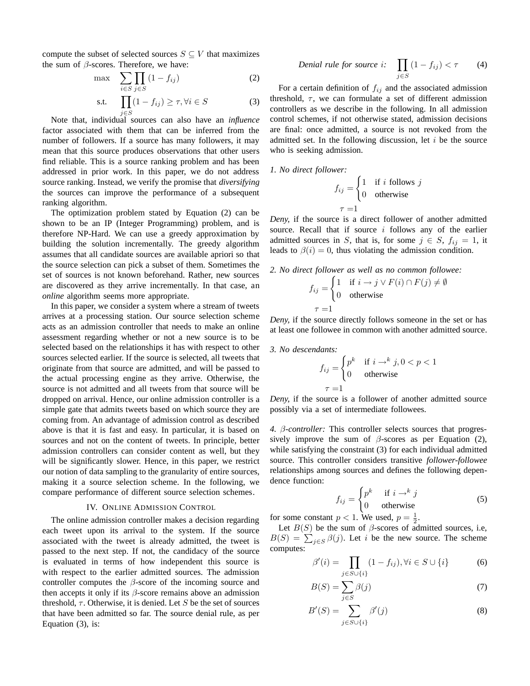compute the subset of selected sources  $S \subseteq V$  that maximizes the sum of  $\beta$ -scores. Therefore, we have:

$$
\max \quad \sum_{i \in S} \prod_{j \in S} (1 - f_{ij}) \tag{2}
$$

$$
\text{s.t.} \quad \prod_{j \in S} (1 - f_{ij}) \ge \tau, \forall i \in S \tag{3}
$$

j∈S Note that, individual sources can also have an *influence* factor associated with them that can be inferred from the number of followers. If a source has many followers, it may mean that this source produces observations that other users find reliable. This is a source ranking problem and has been addressed in prior work. In this paper, we do not address source ranking. Instead, we verify the promise that *diversifying* the sources can improve the performance of a subsequent ranking algorithm.

The optimization problem stated by Equation (2) can be shown to be an IP (Integer Programming) problem, and is therefore NP-Hard. We can use a greedy approximation by building the solution incrementally. The greedy algorithm assumes that all candidate sources are available apriori so that the source selection can pick a subset of them. Sometimes the set of sources is not known beforehand. Rather, new sources are discovered as they arrive incrementally. In that case, an *online* algorithm seems more appropriate.

In this paper, we consider a system where a stream of tweets arrives at a processing station. Our source selection scheme acts as an admission controller that needs to make an online assessment regarding whether or not a new source is to be selected based on the relationships it has with respect to other sources selected earlier. If the source is selected, all tweets that originate from that source are admitted, and will be passed to the actual processing engine as they arrive. Otherwise, the source is not admitted and all tweets from that source will be dropped on arrival. Hence, our online admission controller is a simple gate that admits tweets based on which source they are coming from. An advantage of admission control as described above is that it is fast and easy. In particular, it is based on sources and not on the content of tweets. In principle, better admission controllers can consider content as well, but they will be significantly slower. Hence, in this paper, we restrict our notion of data sampling to the granularity of entire sources, making it a source selection scheme. In the following, we compare performance of different source selection schemes.

## IV. ONLINE ADMISSION CONTROL

The online admission controller makes a decision regarding each tweet upon its arrival to the system. If the source associated with the tweet is already admitted, the tweet is passed to the next step. If not, the candidacy of the source is evaluated in terms of how independent this source is with respect to the earlier admitted sources. The admission controller computes the  $\beta$ -score of the incoming source and then accepts it only if its  $\beta$ -score remains above an admission threshold,  $\tau$ . Otherwise, it is denied. Let S be the set of sources that have been admitted so far. The source denial rule, as per Equation (3), is:

*Denial rule for source i:* 
$$
\prod_{j \in S} (1 - f_{ij}) < \tau \qquad (4)
$$

For a certain definition of  $f_{ij}$  and the associated admission threshold,  $\tau$ , we can formulate a set of different admission controllers as we describe in the following. In all admission control schemes, if not otherwise stated, admission decisions are final: once admitted, a source is not revoked from the admitted set. In the following discussion, let  $i$  be the source who is seeking admission.

*1. No direct follower:*

$$
f_{ij} = \begin{cases} 1 & \text{if } i \text{ follows } j \\ 0 & \text{otherwise} \end{cases}
$$

$$
\tau = 1
$$

*Deny,* if the source is a direct follower of another admitted source. Recall that if source  $i$  follows any of the earlier admitted sources in S, that is, for some  $j \in S$ ,  $f_{ij} = 1$ , it leads to  $\beta(i) = 0$ , thus violating the admission condition.

*2. No direct follower as well as no common followee:*

$$
f_{ij} = \begin{cases} 1 & \text{if } i \to j \lor F(i) \cap F(j) \neq \emptyset \\ 0 & \text{otherwise} \end{cases}
$$
  

$$
\tau = 1
$$

*Deny,* if the source directly follows someone in the set or has at least one followee in common with another admitted source.

*3. No descendants:*

$$
f_{ij} = \begin{cases} p^k & \text{if } i \to^k j, 0 < p < 1 \\ 0 & \text{otherwise} \end{cases}
$$

$$
\tau = 1
$$

*Deny,* if the source is a follower of another admitted source possibly via a set of intermediate followees.

*4.* β*-controller:* This controller selects sources that progressively improve the sum of  $\beta$ -scores as per Equation (2), while satisfying the constraint (3) for each individual admitted source. This controller considers transitive *follower-followee* relationships among sources and defines the following dependence function:

$$
f_{ij} = \begin{cases} p^k & \text{if } i \to^k j \\ 0 & \text{otherwise} \end{cases}
$$
 (5)

for some constant  $p < 1$ . We used,  $p = \frac{1}{2}$ .

Let  $B(S)$  be the sum of  $\beta$ -scores of admitted sources, i.e,  $B(S) = \sum_{j \in S} \beta(j)$ . Let i be the new source. The scheme computes:

$$
\beta'(i) = \prod_{j \in S \cup \{i\}} (1 - f_{ij}), \forall i \in S \cup \{i\}
$$
 (6)

$$
B(S) = \sum_{j \in S} \beta(j) \tag{7}
$$

$$
B'(S) = \sum_{j \in S \cup \{i\}} \beta'(j) \tag{8}
$$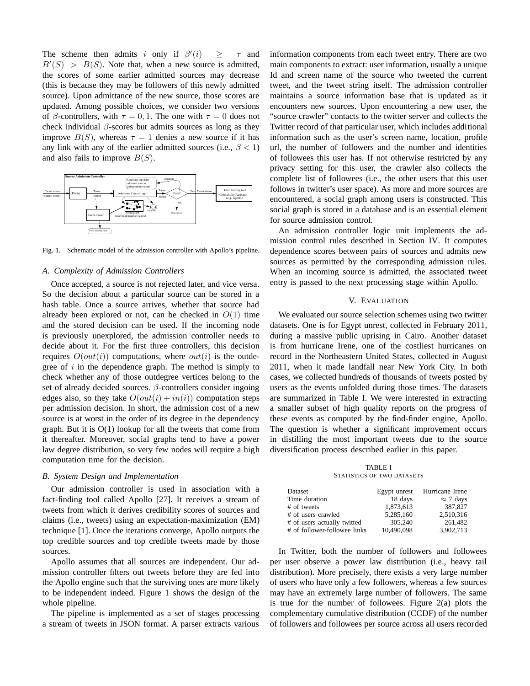The scheme then admits i only if  $\beta'$  $>$   $\tau$  and  $B'(S) > B(S)$ . Note that, when a new source is admitted, the scores of some earlier admitted sources may decrease (this is because they may be followers of this newly admitted source). Upon admittance of the new source, those scores are updated. Among possible choices, we consider two versions of β-controllers, with  $\tau = 0, 1$ . The one with  $\tau = 0$  does not check individual  $\beta$ -scores but admits sources as long as they improve  $B(S)$ , whereas  $\tau = 1$  denies a new source if it has any link with any of the earlier admitted sources (i.e.,  $\beta$  < 1) and also fails to improve  $B(S)$ .



Fig. 1. Schematic model of the admission controller with Apollo's pipeline.

# *A. Complexity of Admission Controllers*

Once accepted, a source is not rejected later, and vice versa. So the decision about a particular source can be stored in a hash table. Once a source arrives, whether that source had already been explored or not, can be checked in  $O(1)$  time and the stored decision can be used. If the incoming node is previously unexplored, the admission controller needs to decide about it. For the first three controllers, this decision requires  $O(out(i))$  computations, where  $out(i)$  is the outdegree of  $i$  in the dependence graph. The method is simply to check whether any of those outdegree vertices belong to the set of already decided sources.  $\beta$ -controllers consider ingoing edges also, so they take  $O(out(i) + in(i))$  computation steps per admission decision. In short, the admission cost of a new source is at worst in the order of its degree in the dependency graph. But it is O(1) lookup for all the tweets that come from it thereafter. Moreover, social graphs tend to have a power law degree distribution, so very few nodes will require a high computation time for the decision.

## *B. System Design and Implementation*

Our admission controller is used in association with a fact-finding tool called Apollo [27]. It receives a stream of tweets from which it derives credibility scores of sources and claims (i.e., tweets) using an expectation-maximization (EM) technique [1]. Once the iterations converge, Apollo outputs the top credible sources and top credible tweets made by those sources.

Apollo assumes that all sources are independent. Our admission controller filters out tweets before they are fed into the Apollo engine such that the surviving ones are more likely to be independent indeed. Figure 1 shows the design of the whole pipeline.

The pipeline is implemented as a set of stages processing a stream of tweets in JSON format. A parser extracts various information components from each tweet entry. There are two main components to extract: user information, usually a unique Id and screen name of the source who tweeted the current tweet, and the tweet string itself. The admission controller maintains a source information base that is updated as it encounters new sources. Upon encountering a new user, the "source crawler" contacts to the twitter server and collects the Twitter record of that particular user, which includes additional information such as the user's screen name, location, profile url, the number of followers and the number and identities of followees this user has. If not otherwise restricted by any privacy setting for this user, the crawler also collects the complete list of followees (i.e., the other users that this user follows in twitter's user space). As more and more sources are encountered, a social graph among users is constructed. This social graph is stored in a database and is an essential element for source admission control.

An admission controller logic unit implements the admission control rules described in Section IV. It computes dependence scores between pairs of sources and admits new sources as permitted by the corresponding admission rules. When an incoming source is admitted, the associated tweet entry is passed to the next processing stage within Apollo.

### V. EVALUATION

We evaluated our source selection schemes using two twitter datasets. One is for Egypt unrest, collected in February 2011, during a massive public uprising in Cairo. Another dataset is from hurricane Irene, one of the costliest hurricanes on record in the Northeastern United States, collected in August 2011, when it made landfall near New York City. In both cases, we collected hundreds of thousands of tweets posted by users as the events unfolded during those times. The datasets are summarized in Table I. We were interested in extracting a smaller subset of high quality reports on the progress of these events as computed by the find-finder engine, Apollo. The question is whether a significant improvement occurs in distilling the most important tweets due to the source diversification process described earlier in this paper.

TABLE I STATISTICS OF TWO DATASETS

| Dataset                      | Egypt unrest | Hurricane Irene  |
|------------------------------|--------------|------------------|
| Time duration                | 18 days      | $\approx$ 7 days |
| # of tweets                  | 1,873,613    | 387.827          |
| # of users crawled           | 5.285.160    | 2.510.316        |
| # of users actually twitted  | 305,240      | 261.482          |
| # of follower-followee links | 10.490.098   | 3,902,713        |

In Twitter, both the number of followers and followees per user observe a power law distribution (i.e., heavy tail distribution). More precisely, there exists a very large number of users who have only a few followers, whereas a few sources may have an extremely large number of followers. The same is true for the number of followees. Figure  $2(a)$  plots the complementary cumulative distribution (CCDF) of the number of followers and followees per source across all users recorded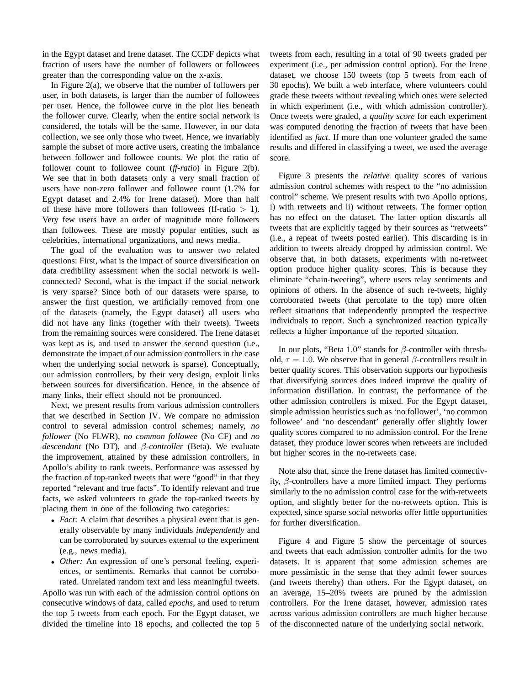in the Egypt dataset and Irene dataset. The CCDF depicts what fraction of users have the number of followers or followees greater than the corresponding value on the x-axis.

In Figure  $2(a)$ , we observe that the number of followers per user, in both datasets, is larger than the number of followees per user. Hence, the followee curve in the plot lies beneath the follower curve. Clearly, when the entire social network is considered, the totals will be the same. However, in our data collection, we see only those who tweet. Hence, we invariably sample the subset of more active users, creating the imbalance between follower and followee counts. We plot the ratio of follower count to followee count (*ff-ratio*) in Figure 2(b). We see that in both datasets only a very small fraction of users have non-zero follower and followee count (1.7% for Egypt dataset and 2.4% for Irene dataset). More than half of these have more followers than followees (ff-ratio  $> 1$ ). Very few users have an order of magnitude more followers than followees. These are mostly popular entities, such as celebrities, international organizations, and news media.

The goal of the evaluation was to answer two related questions: First, what is the impact of source diversification on data credibility assessment when the social network is wellconnected? Second, what is the impact if the social network is very sparse? Since both of our datasets were sparse, to answer the first question, we artificially removed from one of the datasets (namely, the Egypt dataset) all users who did not have any links (together with their tweets). Tweets from the remaining sources were considered. The Irene dataset was kept as is, and used to answer the second question (i.e., demonstrate the impact of our admission controllers in the case when the underlying social network is sparse). Conceptually, our admission controllers, by their very design, exploit links between sources for diversification. Hence, in the absence of many links, their effect should not be pronounced.

Next, we present results from various admission controllers that we described in Section IV. We compare no admission control to several admission control schemes; namely, *no follower* (No FLWR), *no common followee* (No CF) and *no descendant* (No DT), and β*-controller* (Beta). We evaluate the improvement, attained by these admission controllers, in Apollo's ability to rank tweets. Performance was assessed by the fraction of top-ranked tweets that were "good" in that they reported "relevant and true facts". To identify relevant and true facts, we asked volunteers to grade the top-ranked tweets by placing them in one of the following two categories:

- *Fact*: A claim that describes a physical event that is generally observable by many individuals *independently* and can be corroborated by sources external to the experiment (e.g., news media).
- *Other:* An expression of one's personal feeling, experiences, or sentiments. Remarks that cannot be corroborated. Unrelated random text and less meaningful tweets.

Apollo was run with each of the admission control options on consecutive windows of data, called *epochs*, and used to return the top 5 tweets from each epoch. For the Egypt dataset, we divided the timeline into 18 epochs, and collected the top 5 tweets from each, resulting in a total of 90 tweets graded per experiment (i.e., per admission control option). For the Irene dataset, we choose 150 tweets (top 5 tweets from each of 30 epochs). We built a web interface, where volunteers could grade these tweets without revealing which ones were selected in which experiment (i.e., with which admission controller). Once tweets were graded, a *quality score* for each experiment was computed denoting the fraction of tweets that have been identified as *fact*. If more than one volunteer graded the same results and differed in classifying a tweet, we used the average score.

Figure 3 presents the *relative* quality scores of various admission control schemes with respect to the "no admission control" scheme. We present results with two Apollo options, i) with retweets and ii) without retweets. The former option has no effect on the dataset. The latter option discards all tweets that are explicitly tagged by their sources as "retweets" (i.e., a repeat of tweets posted earlier). This discarding is in addition to tweets already dropped by admission control. We observe that, in both datasets, experiments with no-retweet option produce higher quality scores. This is because they eliminate "chain-tweeting", where users relay sentiments and opinions of others. In the absence of such re-tweets, highly corroborated tweets (that percolate to the top) more often reflect situations that independently prompted the respective individuals to report. Such a synchronized reaction typically reflects a higher importance of the reported situation.

In our plots, "Beta 1.0" stands for  $\beta$ -controller with threshold,  $\tau = 1.0$ . We observe that in general  $\beta$ -controllers result in better quality scores. This observation supports our hypothesis that diversifying sources does indeed improve the quality of information distillation. In contrast, the performance of the other admission controllers is mixed. For the Egypt dataset, simple admission heuristics such as 'no follower', 'no common followee' and 'no descendant' generally offer slightly lower quality scores compared to no admission control. For the Irene dataset, they produce lower scores when retweets are included but higher scores in the no-retweets case.

Note also that, since the Irene dataset has limited connectivity, β-controllers have a more limited impact. They performs similarly to the no admission control case for the with-retweets option, and slightly better for the no-retweets option. This is expected, since sparse social networks offer little opportunities for further diversification.

Figure 4 and Figure 5 show the percentage of sources and tweets that each admission controller admits for the two datasets. It is apparent that some admission schemes are more pessimistic in the sense that they admit fewer sources (and tweets thereby) than others. For the Egypt dataset, on an average, 15–20% tweets are pruned by the admission controllers. For the Irene dataset, however, admission rates across various admission controllers are much higher because of the disconnected nature of the underlying social network.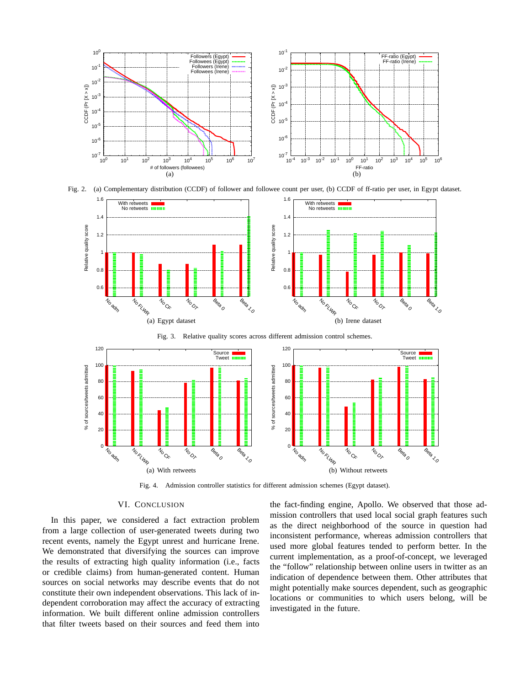





Fig. 3. Relative quality scores across different admission control schemes.



Fig. 4. Admission controller statistics for different admission schemes (Egypt dataset).

# VI. CONCLUSION

In this paper, we considered a fact extraction problem from a large collection of user-generated tweets during two recent events, namely the Egypt unrest and hurricane Irene. We demonstrated that diversifying the sources can improve the results of extracting high quality information (i.e., facts or credible claims) from human-generated content. Human sources on social networks may describe events that do not constitute their own independent observations. This lack of independent corroboration may affect the accuracy of extracting information. We built different online admission controllers that filter tweets based on their sources and feed them into

the fact-finding engine, Apollo. We observed that those admission controllers that used local social graph features such as the direct neighborhood of the source in question had inconsistent performance, whereas admission controllers that used more global features tended to perform better. In the current implementation, as a proof-of-concept, we leveraged the "follow" relationship between online users in twitter as an indication of dependence between them. Other attributes that might potentially make sources dependent, such as geographic locations or communities to which users belong, will be investigated in the future.